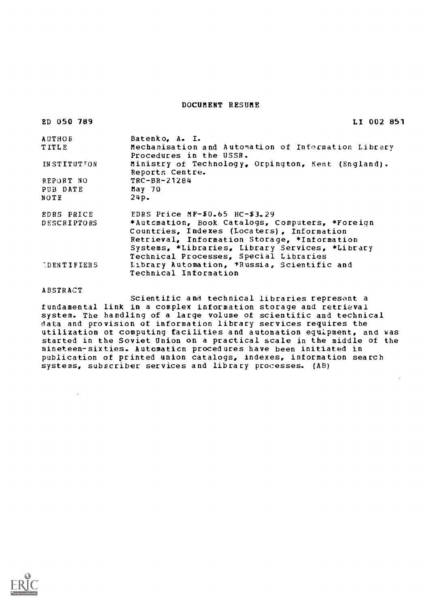### DOCUMENT RESUME

| ED 050 789         | LI 002 851                                                                                                                                    |
|--------------------|-----------------------------------------------------------------------------------------------------------------------------------------------|
| AUTHOR             | Batenko, A. I.                                                                                                                                |
| TITLE              | Mechanisation and Automation of Information Library<br>Procedures in the USSR.                                                                |
| INSTITUTION        | Ministry of Technology, Orpington, Kent (England).<br>Reports Centre.                                                                         |
| REPORT NO          | $TRC-BR-21284$                                                                                                                                |
| PUB DATE           | May 70                                                                                                                                        |
| NOTE               | 24p.                                                                                                                                          |
| EDRS PRICE         | EDRS Price $MF-50.65$ $HC-53.29$                                                                                                              |
| <b>DESCRIPTORS</b> | *Automation, Book Catalogs, Computers, *Foreign<br>Countries, Indexes (Locaters), Information<br>Retrieval, Information Storage, *Information |
|                    | Systems, *Libraries, Library Services, *Library                                                                                               |
| DENTIFIERS         | Technical Processes, Special Libraries<br>Library Automation, *Russia, Scientific and<br><b>Technical Information</b>                         |
|                    |                                                                                                                                               |

ABSTRACT

 $\mathbf{v}$ 

Scientific and technical libraries represent a fundamental link in a complex information storage and retrieval system. The handling of a large volume of scientific and technical data and provision of information library services requires the utilization of computing facilities and automation equipment, and was started in the Soviet Union on a practical scale in the middle of the nineteen-sixties. Automation procedures have been initiated in publication of printed union catalogs, indexes, information search systems, subscriber services and library processes. (AB)

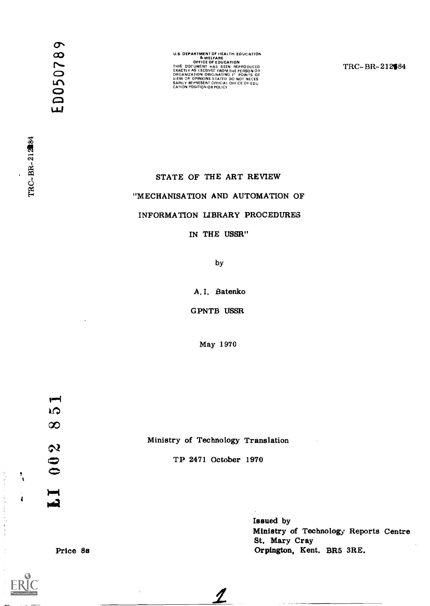$\ddot{\mathbf{C}}$ 

 $\sim$   $\sim$ 

U.S. DEPARTMENT OF IRELTH. EDUCATION<br>
OFFICE OF EDUCATION<br>
THIS DOCUMENT HAS BEEN REFRODUCED<br>
THIS DOCUMENT HAS USED AT THE PERSON OR<br>
ORGANIZATION DORING THE PERSON OR<br>
ORGANIZATION OR OPINIONS STATED DO NOT NECES<br>
SARILY

TRC-BR-212184

# STATE OF THE ART REVIEW

# "MECHANISATION AND AUTOMATION OF

## INFORMATION LIBRARY PROCEDURES

IN THE USSR"

by

A. I. Batenko

GPNTB USSR

May 1970

TP 2471 October 1970

 $\boldsymbol{\mathcal{I}}$ 

 $\frac{1}{2}$  $\infty$ Ministry of Technology Translation  $\boldsymbol{\omega}$  $\ddot{\mathbf{0}}$ پ

Issued by Ministry of Technology Reports Centre St, Mary Cray Orpington, Kent, BR5 3RE.

Price 8s

医气肿病 计分散仪 医克里奇氏囊造影

 $\frac{1}{3}$ 

 $\frac{1}{4}$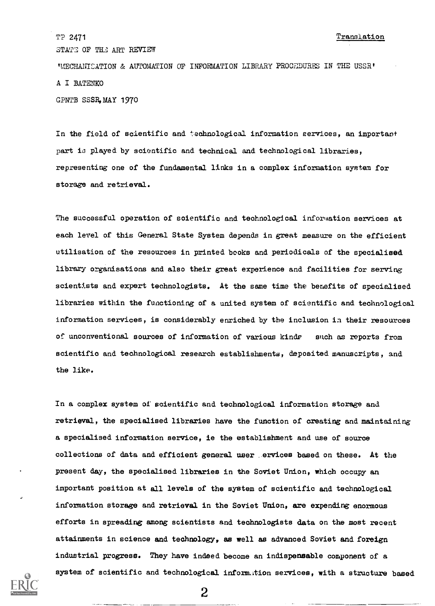TP 2471 STATE OF THE ART REVIEW **'MECHANICATION & AUTOMATION OF INFORMATION LIBRARY PROCEDURES IN THE USSR'** A I BATENKO Translation

GPNTB SSSR,MAY 1970

In the field of scientific and technological information eervices, an important part is played by scientific and technical and technological libraries, representing one of the fundamental links in a complex information system for storage and retrieval.

The successful operation of scientific and technological information services at each level of this General State System depends in great measure on the efficient utilisation of the resources in printed books and periodicals of the specialised library organisations and also their great experience and facilities for serving scientists and expert technologists. At the same time the benefits of specialised libraries within the functioning of a united system of scientific and technological information services, is considerably enriched by the inclusion in their resources of unconventional sources of information of various kinde each as reports from scientific and technological research establishments, deposited manuscripts, and the like.

In a complex system of scientific and technological information storage and retrieval, the specialised libraries have the function of creating and maintaining a specialised information service, ie the establishment and use of source collections of data and effioient general user ervices based on these. At the present day, the specialised libraries in the Soviet Union, which occupy an important position at all levels of the system of scientific and technological information storage and retrieval in the Soviet Union, are expending enormous efforts in spreading among scientists and technologists data on the most recent attainments in science and technology, as well as advanced Soviet and foreign industrial progress. They have indeed become an indispensable component of a system of scientific and technological information services, with a structure based

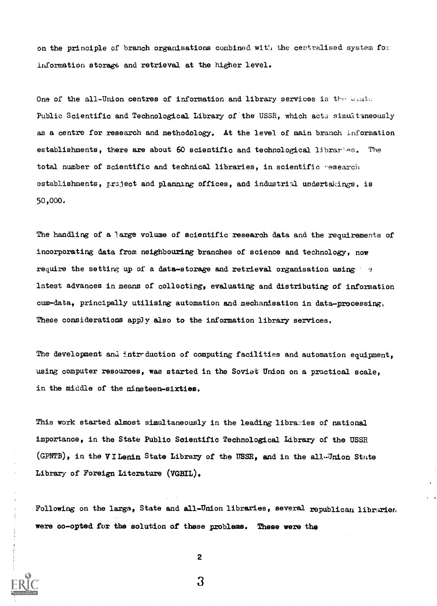on the principle of branch organisations combined with the centralised system for Information storage and retrieval at the higher level.

One of the all-Union centres of information and library services is the beate Public Scientific and Technological Library of the USSR, which acts simultaneously as a centre for research and methodology. At the level of main branch information establishments, there are about 60 scientific and technological libraries. The total number of scientific and technical libraries, in scientific research establishments, project and planning offices, and industrial undertakings, is 50,000.

The handling of a large volume of scientific research data and the requirements of incorporating data from neighbouring branches of science and technology, now require the setting up of a data-storage and retrieval organisation using  $\rightarrow$ latest advances in means of collecting, evaluating and distributing of information cum-data, principally utilising automation and mechanisation in data-processing. These considerations apply also to the information library services.

The development and intr duction of computing facilities and automation equipment, using computer resources, was started in the Soviet Union on a practical scale, in the middle of the nineteen-sixties.

This work started almost simultaneously in the leading libraries of national importance, in the State Public Scientific Technological Library of the USSR (GPNTB), in the VILenin State Library of the USSR, and in the all-Union State Library of Foreign Literature (VGBIL).

Following on the large, State and all-Union libraries, several republican libraries. were oo-opted for the solution of these problems. These were the



2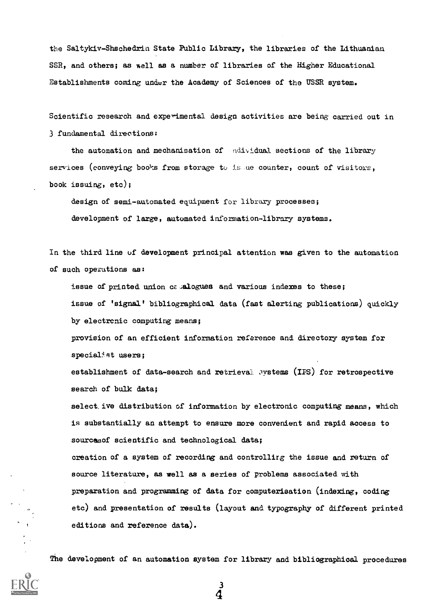the Saltykiv-Shschedria State Public Library, the libraries of the Lithuanian SSR, and others; as well as a number of libraries of the Higher Educational Establishments coming under the Academy of Sciences of the USSR system.

Scientific research and experimental design activities are being carried out in 3 fundamental directions:

the automation and mechanisation of ndividual sections of the library services (conveying books from storage to is ue counter, count of visitors, book issuing, etc);

design of semi-automated equipment for library processes; development of large, automated information-library systems.

In the third line of development principal attention was given to the automation of such operations as:

issue of printed union  $c\epsilon$  alogues and various indexes to these; issue of 'signal' bibliographical data (fast alerting publications) quickly by electronic computing means;

provision of an efficient information reference and directory system for specialist users;

establishment of data-search and retrieval systems (IPS) for retrospective search of bulk data;

select.ive distribution of information by electronic computing means, which is substantially an attempt to ensure more convenient and rapid access to sources of scientific and technological data; creation of a system of recording and controllirg the issue and return of source literature, as well as a series of problems associated with preparation and programming of data for computerisation (indexing, coding

etc) and presentation of results (layout and typography of different printed editions and reference data).

The development of an automation system for library and bibliographical procedures

4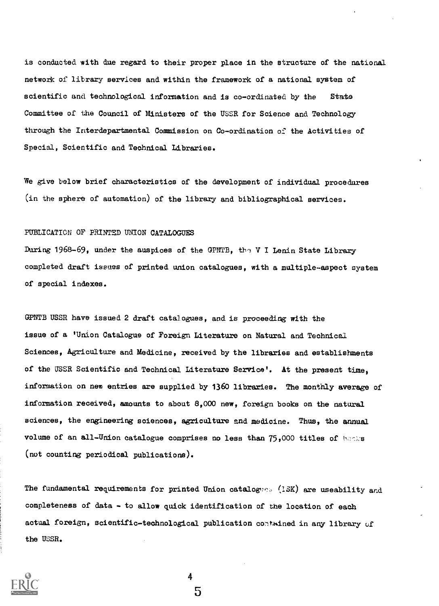is conducted with due regard to their proper place in the structure of the national network of library services and within the framework of a national system of scientific and technological information and is co-ordinated by the State Committee of the Council of Ministers of the USSR for Science and Technology through the Interdepartmental Commission on Co-ordination of the Activities of Special, Scientific and Technical Libraries.

We give below brief characteristics of the development of individual procedures (in the sphere of automation) of the library and bibliographical services.

#### PUBLICATION OF PRINTED UNION CATALOGUES

During 1968-69, under the auspices of the GPNTB, the V I Lenin State Library completed draft issues of printed union catalogues, with a multiple-aspect system of special indexes.

OPNTB USSR have issued 2 draft catalogues, and is proceeding with the issue of a 'Union Catalogue of Foreign Literature on Natural and Technical Sciences, Agriculture and Medicine, received by the libraries and establishments of the USSR Scientific and Technical Literature Service'. At the present time, information on new entries are supplied by 1360 libraries. The monthly average of information received, amounts to about 8,000 new, foreign books on the natural sciences, the engineering sciences, agriculture and medicine. Thus, the annual volume of an all-Union catalogue comprises no less than 75,000 titles of hecks (not counting periodical publications).

The fundamental requirements for printed Union catalogues (15K) are useability and completeness of data - to allow quick identification of the location of each actual foreign, scientific-technological publication contained in any library of the USSR.

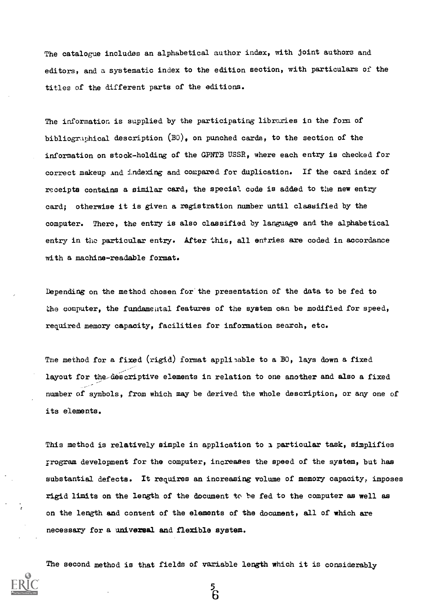The catalogue includes an alphabetical author index, with joint authors and editors, and a systematic index to the edition section, with particulars of the titles of the different parts of the editions.

The information is supplied by the participating libraries in the form of bibliographical description  $(B0)$ , on punched cards, to the section of the information on stock-holding of the GPNTB USSR, where each entry is checked for correct makeup And indexing and compared for duplication. If the card index of receipts contains a similar card, the special code is added to the new entry card; otherwise it is given a registration number until classified by the computer. There, the entry is also classified by language and the alphabetical entry in the particular entry. After this, all entries are coded in accordance with a machine-readable format.

Depending on the method chosen for'the presentation of the data to be fed to the computer, the fundamental features of the system can be modified for speed, required memory capacity, facilities for information search, etc.

The method for a fixed (rigid) format applibable to a BO, lays down a fixed layout for the-descriptive elements in relation to one another and also a fixed number of symbols, from which may be derived the whole description, or any one of its elements.

This method is relatively simple in application to a particular task, simplifies program development for the computer, increases the speed of the system, but has substantial defects. It requires an increasing volume of memory capacity, imposes rigid limits on the length of the document to he fed to the computer as well as on the length and content of the elements of the document, all of which are necessary for a universal and flexible system.

The second method is that fields of variable length which it is considerably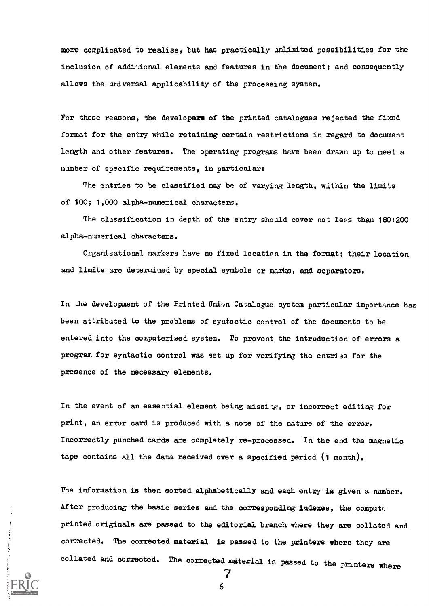more complicated to realise, but has practically unlimited possibilities for the inclusion of additional elements and features in the document; and consequently allows the universal applicability of the processing system.

For these reasons, the developers of the printed catalogues rejected the fixed format for the entry while retaining certain restrictions in regard to document length and other features. The operating programs have been drawn up to meet a number of specific requirements, in particular:

The entries to be classified may be of varying length, within the limits of 100; 1,000 alpha-numerical characters.

The classification in depth of the entry should cover not less than 180:200 alpha-numerical characters.

Organisational markers have no fixed location in the format; their location and limits are determined by special symbols or marks, and separators.

In the development of the Printed Union Catalogue system particular importance has been attributed to the problems of syntactic control of the documents to be entered into the computerised system. To prevent the introduction of errors a program for syntactic control was set up for verifying the entries for the presence of the necessary elements.

In the event of an essential element being missing, or incorrect editing for print, an error card is produced with a note of the nature of the error. Incorrectly punched cards are completely re-processed. In the end the magnetic tape contains all the data received over a specified period (1 month).

The information is then sorted alphabetically and each entry is given a number. After producing the basic series and the corresponding indexes, the computeprinted originals are passed to the editorial branch where they are collated and corrected. The corrected material is passed to the printers where they are collated and corrected. The corrected material is passed to the printers where

7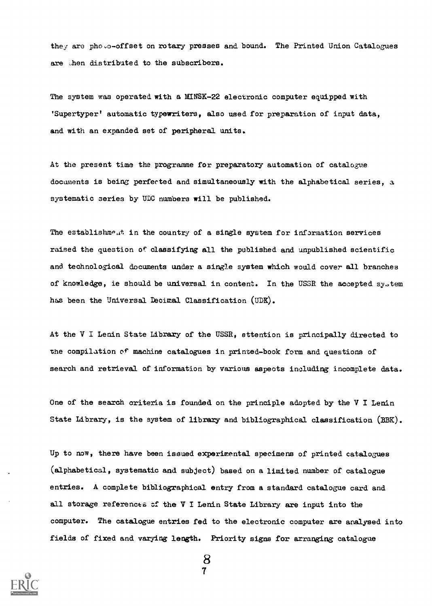they are photo-offset on rotary presses and bound. The Printed Union Catalogues are then distributed to the subscribers.

The system was operated with a MINSK-22 electronic computer equipped with 'Supertyper' automatic typewriters, also used for preparation of input data, and with an expanded set of peripheral units.

At the present time the programme for preparatory automation of catalogue documents is being perfected and simultaneously with the alphabetical series, a systematic series by UDC numbers will be published.

The establishme.tt in the country of a single system for information services raised the question of classifying all the published and unpublished scientific and technological documents under a single system which would cover all branches of knowledge, ie should be universal in content. In the USSR the accepted system has been the Universal Decimal. Classification (UDK).

At the V I Lenin State Library of the USSR, attention is principally directed to the compilation of machine catalogues in printed-book form and questions of search and retrieval of information by various aspects including incomplete data.

One of the search criteria is founded on the principle adopted by the V I Lenin State Library, is the system of library and bibliographical classification (BBK).

Up to now, there have been issued experimental specimens of printed catalogues (alphabetical, systematic and subject) based on a limited number of catalogue entries. A complete bibliographical entry from a standard catalogue card and all storage references of the V I Lenin State Library are input into the computer. The catalogue entries fed to the electronic computer are analysed into fields of fixed and varying length. Priority signs for arranging catalogue

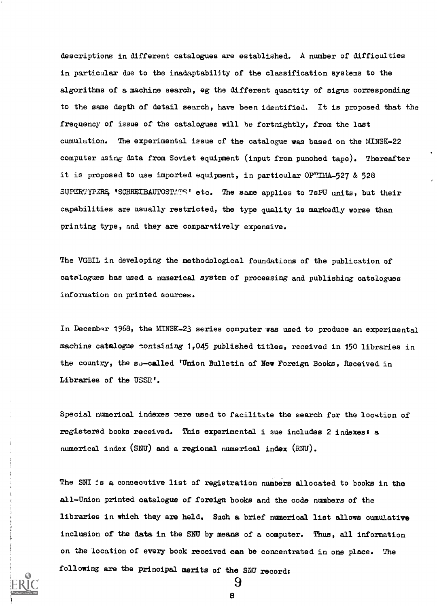descriptions in different catalogues are established. A number of difficulties in particular due to the inadaptability of the classification systems to the algorithms of a machine search, eg the different quantity of signs corresponding to the same depth of detail search, have been identified. It is proposed that the frequency of issue of the catalogues will he fortnightly, from the last cumulation. The experimental issue of the catalogue was based on the MINSK-22 computer using data from Soviet equipment (input from punched tape). Thereafter it is proposed to use imported equipment, in particular OPTIMA-527 & 528 SUPERTYPERS 'SCHREIBAUTOSTATS' etc. The same applies to TsPU units, but their capabilities are usually restricted, the type quality is markedly worse than printing type, and they are comparatively expensive.

The VGBIL in developing the methodological foundations of the publication of catalogues has used a numerical system of processing and publishing catalogues information on printed sources.

In December 1968, the MINSK-23 series computer was used to produce an experimental machine catalogue contsining 1,045 published titles, received in 150 libraries in the country, the su-called 'Union Bulletin of New Foreign Books, Received in Libraries of the USSR'.

Special numerical indexes were used to facilitate the search for the location of registered books received. This experimental i sue includes 2 indexes: a numerical index (SNU) and a regional numerical index (RNU).

The SNI is a consecutive list of registration numbers allocated to books in the all-Union printed catalogue of foreign books and the code numbers of the libraries in which they are held. Such a brief numerical list allows cumulative inclusion of the data in the SNU by means of a computer. Thus, all information on the location of every book received can be concentrated in one place. The following are the principal merits of the SW records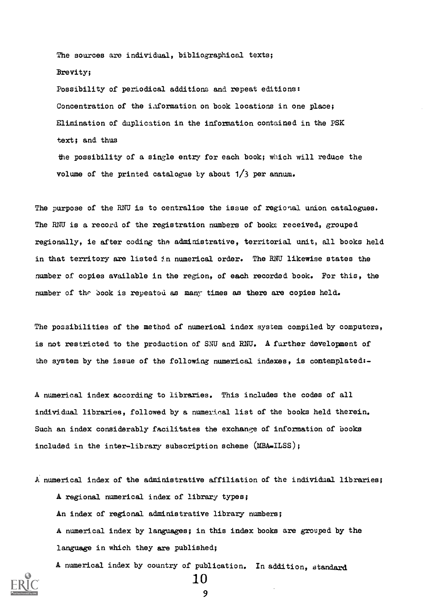The sources are individual, bibliographical texts; Brevity; Possibility of periodical additions and repeat editions: Concentration of the information on book locations in one place; Elimination of duplication in the information contained in the PSK text; and thus the possibility of a single entry for each book; which will reduce the volume of the printed catalogue by about  $1/3$  per annum.

The purpose of the RNU is to centralise the issue of regional union catalogues. The RNU is a record of the registration numbers of books received, grouped regionally, ie after coding the administrative, territorial unit, all books held in that territory are listed jm numerical order. The RNU likewise states the number of copies available in the region, of each recorded book. For this, the number of the book is repeated as many times as there are copies held.

The possibilities of the method of numerical index system compiled by computers, is not restricted to the production of SNU and RNU. A further development of the system by the issue of the following numerical indexes, is contemplated:-

A numerical index according to libraries. This includes the codes of all individual libraries, followed by a numerical list of the books held therein. Such an index considerably facilitates the exchange of information of books included in the inter-library subscription scheme (MBA-ILSS);

A. numerical index of the administrative affiliation of the individual libraries; A regional numerical index of library types; An index of regional administrative library numbers; A numerical index by languages; in this index books are grouped by the language in which they are published;

A numerical index by country of publication. In addition, standard 10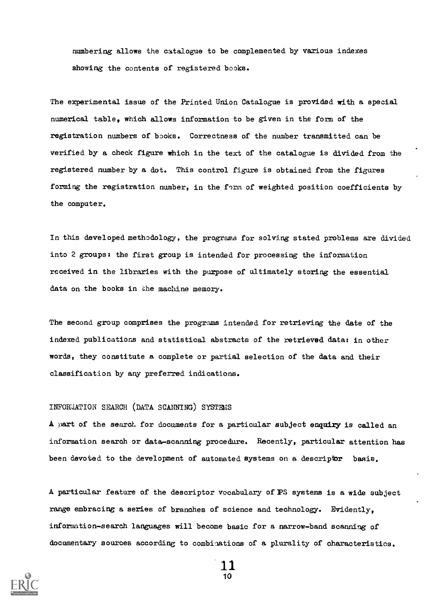numbering allows the catalogue to be complemented by various indexes showing the contents of registered books.

The experimental issue of the Printed Union Catalogue is provided with a special numerical table, which allows information to be given in the form of the registration numbers of books. Correctness of the number transmitted can be verified by a check figure which in the text of the catalogue is divided from the registered number by a dot. This control figure is obtained from the figures forming the registration number, in the form of weighted position coefficients by the computer.

In this developed methodology, the programs for solving stated problems are divided into 2 groups: the first group is intended for processing the information received in the libraries with the purpose of ultimately storing the essential data on the books in the machine memory.

The second group comprises the programs intended for retrieving the date of the indexed publications and statistical abstracts of the retrieved data: in other words, they constitute a complete or partial selection of the data and their classification by any preferred indications.

#### INFORMATION SEARCH (DATA SCANNING) SYSTEMS

A part of the search for documents for a particular subject enquiry is called an information search or data-scanning procedure. Recently, particular attention has been devoted to the development of automated systems on a descriptor basis.

A particular feature of the descriptor vocabulary of PS systems is a wide subject range embracing a series of branches of science and technology. Evidently, information-search languages will become basic for a narrow-band scanning of documentary sources according to combinations of a plurality of characteristics.

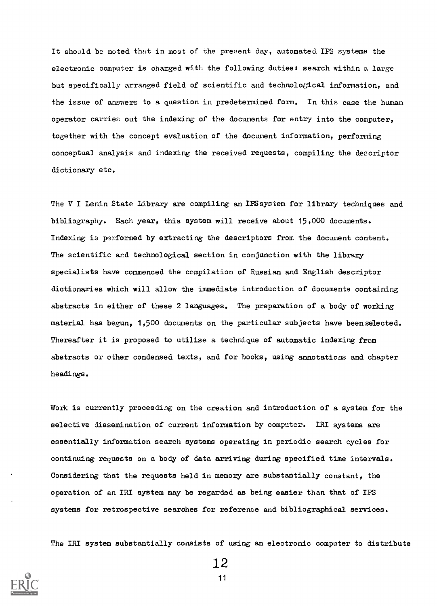It should be noted that in most of the present day, automated IPS systems the electronic computer is charged with the following duties: search within a large but specifically arranged field of scientific and technological information, and the issue of answers to a question in predetermined form. In this case the human operator carries out the indexing of the documents for entry into the computer, together with the concept evaluation of the document information, performing conceptual analysis and indexing the received requests, compiling the descriptor dictionary etc.

The V I Lenin State Library are compiling an IPS system for library techniques and bibliography. Each year, this system will receive about 15,000 documents. Indexing is performed by extracting the descriptors from the document content. The scientific and technological section in conjunction with the library specialists have commenced the compilation of Russian and English descriptor dictionaries which will allow the immediate introduction of documents containing abstracts in either of these 2 languages. The preparation of a body of working material has begun, 1,500 documents on the particular subjects have been selected. Thereafter it is proposed to utilise a technique of automatic indexing from abstracts or other condensed texts, and for books, using annotations and chapter headings.

Work is currently proceeding on the creation and introduction of a system for the selective dissemination of current information by computer. IRI systems are essentially information search systems operating in periodic search cycles for continuing requests on a body of data arriving during specified time intervals. Considering that the requests held in memory are substantially constant, the operation of an IRI system may be regarded as being easier than that of IPS systems for retrospective searches for reference and bibliographical services.

The IRI system substantially consists of using an electronic computer to distribute



12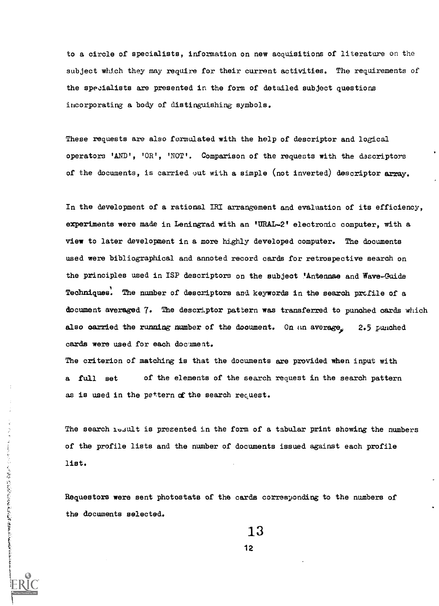to a circle of specialists, information on new acquisitions of literature on the subject which they may require for their current activities. The requirements of the specialists are presented in the form of detailed subject questions incorporating a body of distinguishing. symbols.

These requests are also formulated with the help of descriptor and logical operators 'AND', 'OR', 'NOT'. Comparison of the requests with the dascriptors of the documents, is carried out with a simple (not inverted) descriptor array.

In the development of a rational IRI arrangement and evaluation of its efficiency, experiments were made in Leningrad with an tURAI-21 electronic computer, with a view to later development in a more highly developed computer. The documents used were bibliographical and annoted record cards for retrospective search on the principles used in ISP descriptors on the subject 'Antennae and Wave-Guide Techniques. The number of descriptors and keywords in the search profile of a document averaged 7. The descriptor pattern was transferred to punched cards which also carried the running number of the document. On an average,  $2.5$  punched cards were used for each document.

The criterion of matching is that the documents are provided when input with a full set of the elements of the search request in the search pattern as is used in the pattern of the search request.

The search 10.4ult is presented in the form of a tabular print showing the numbers of the profile lists and the number of documents issued against each profile list.

Requestors were sent photostats of the cards corresponding to the numbers of the documents selected.

ことにかいいと、現在、現在の中にある新聞の転換をきるともにもあるます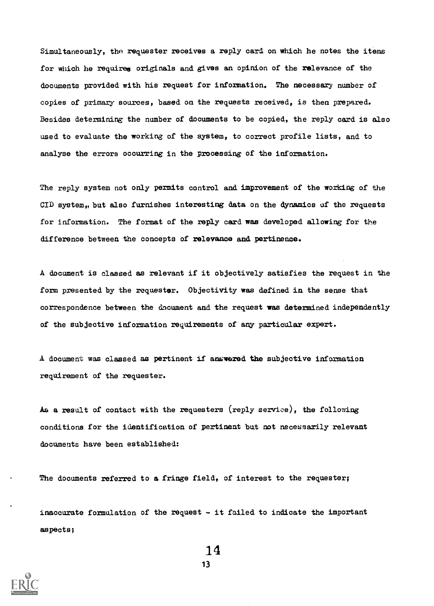Simultaneously, the requester receives a reply card on which he notes the items for which he requires originals and gives an opinion of the relevance of the documents provided with his request for information. The necessary number of copies of primary sources, based on the requests received, is then prepared. Besides determining the number of documents to be copied, the reply card is also used to evaluate the working of the system, to correct profile lists, and to analyse the errors occurring in the processing of the information.

The reply system not only permits control and improvement of the working of the CID system. but also furnishes interesting data on the dynamics of the requests for information. The format of the reply card was developed allowing for the difference between the concepts of relevance and pertinence.

A document is classed as relevant if it objectively satisfies the request in the form presented by the requester. Objectivity was defined in the sense that correspondence between the document and the request was determined independently of the subjective information requirements of any particular expert.

A document was classed as pertinent if answered the subjective information requirement of the requester.

As a result of contact with the requesters (reply service), the following conditions for the identification of pertinent but not necessarily relevant documents have been established:

The documents referred to a fringe field, of interest to the requester;

inaccurate formulation of the request - it failed to indicate the important aspects;



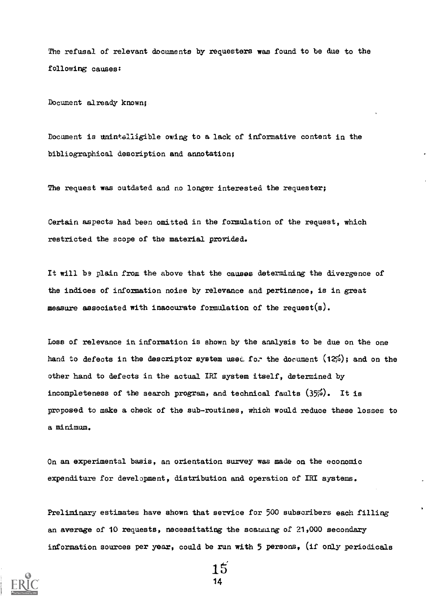The refusal of relevant documents by requesters was found to be due to the following causes:

Document already known;

Document is unintalligible owing to a lack of informative content in the bibliographical description and annotation;

The request was outdated and no longer interested the requester;

Certain aspects had been omitted in the formulation of the request, which restricted the scope of the material provided.

It will be plain from the above that the causes determining the divergence of the indices of information noise by relevance and pertinence, is in great measure associated with inaccurate formulation of the request(s).

Loss of relevance in information is shown by the analysis to be due on the one hand to defects in the descriptor system used for the document  $(12\%)$ ; and on the other hand to defects in the actual IRI system itself, determined by incompleteness of the search program, and technical faults  $(35\%)$ . It is proposed to make a check of the sub-routines, which would reduce these losses to a minimum.

On an experimental basis, an orientation survey was made on the economic expenditure for development, distribution and operation of IRI systems.

Preliminary estimates have shown that service for 500 subscribers each filling an average of 10 requests, necessitating the scanning of  $21,000$  secondary information sources per year, could be run with 5 persons, (if only periodicals



5' 14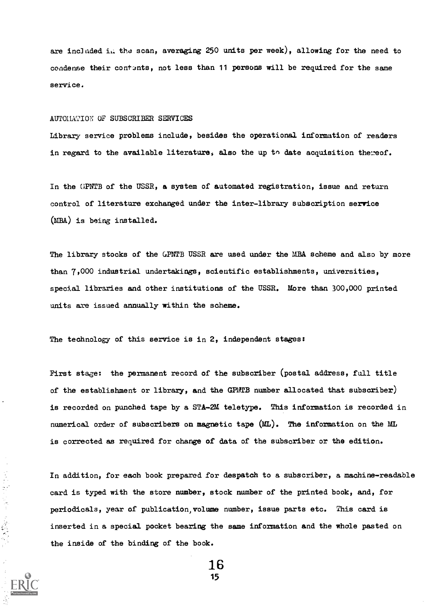are included in the scan, averaging 250 units per week), allowing for the need to condense their contants, not less than 11 persons will be required for the same service.

#### AUTOMATION OF SUBSCRIBER SERVICES

 $\frac{1}{2}$ 

Library service problems include, besides the operational information of readers in regard to the available literature, also the up to date acquisition thereof.

In the GPNTB of the USSR, a system of automated registration, issue and return control of literature exchanged under the inter-library subscription service (MBA) is being installed.

The library stocks of the GPNTB USSR are used under the MBA scheme and also by more than 7,000 industrial undertakings, scientific establishments, universities, special libraries and other institutions of the USSR. More than 300,000 printed units are issued annually within the scheme.

The technology of this service is in 2, independent stages:

First stage: the permanent record of the subscriber (postal address, full title of the establishment or library, and the GPIEB number allocated that subscriber) is recorded on punched tape by a STA-2M teletype. This information is recorded in numerical order of subscribers on magnetic tape (WL). The information on the ML is corrected as required for change of data of the subscriber or the edition.

In addition, for each book prepared for despatch to a subscriber, a machine-readable card is typed with the store number, stock number of the printed book, and, for periodicals, year of publication,volume number, issue parts etc. This card is inserted in a special pocket bearing the same information and the whole pasted on the inside of the binding of the book.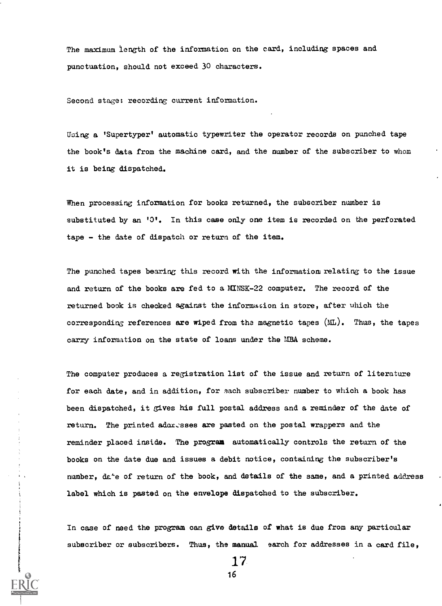The maximum length of the information on the card, including spaces and punctuation, should not exceed 30 characters.

Second stage: recording current information.

Using a 'Supertyper' automatic typewriter the operator records on punched tape the book's data from the machine card, and the number of the subscriber to whom it is being dispatched.

When processing information for books returned, the subscriber number is substituted by an '0'. In this case only one item is recorded on the perforated tape - the date of dispatch or return of the item.

The punched tapes bearing this record with the informatiom relating to the issue and return of the books are fed to a MINSK-22 computer. The record of the returned book is checked against the information in store, after which the corresponding references are wiped from the magnetic tapes (ML). Thus, the tapes carry information on the state of loans under the MBA scheme.

The computer produces a registration list of the issue and return of literature for each date, and in addition, for each subscriber number to which a book has been dispatched, it gives his full postal address and a reminder of the date of return. The printed adoresses are pasted on the postal wrappers and the reminder placed inside. The program automatically controls the return of the books on the date due and issues a debit notice, containing the subscriber's number, da'e of return of the book, and details of the same, and a printed address label which is pasted on the envelope dispatched to the subscriber.

In case of need the program can give details of what is due from any particular subscriber or subscribers. Thus, the manual earch for addresses in a card file,

17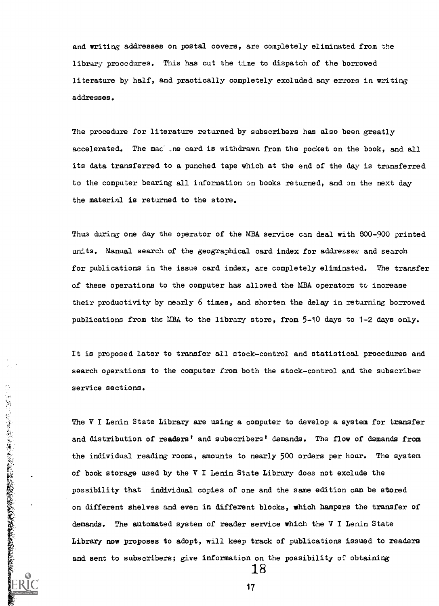and writing addresses on postal covers, are completely eliminated from the library procedures. This has cut the time to dispatch of the borrowed literature by half, and practically completely excluded any errors in writing addresses.

The procedure for literature returned by subscribers has also been greatly accelerated. The mac \_ne card is withdrawn from the pocket on the book, and all its data transferred to a punched tape which at the end of the day is transferred to the computer bearing all information on books returned, and on the next day the material is returned to the store.

Thus during one day the operator of the MBA service can deal with 800-900 printed units. Manual search of the geographical card index for addressee and search for publications in the issue card index, are completely eliminated. The transfer of these operations to the computer has allowed the MBA operators to increase their productivity by nearly 6 times, and shorten the delay in returning borrowed publications from the MBA to the library store, from 5-10 days to 1-2 days only.

It is proposed later to transfer all stock-control and statistical procedures and search operations to the computer from both the stock-control and the subscriber service sections.

The V I Lenin State Library are using a computer to develop a system for transfer and distribution of readers' and subscribers' demands. The flow of demands from the individual reading rooms, amounts to nearly 500 orders per hour. The system of book storage used by the V I Lenin State Library does not exclude the possibility that individual copies of one and the same edition can be stored on different shelves and even in different blocks, which hampers the transfer of demands. The automated system of reader service which the V I Lenin State Library now proposes to adopt, will keep track of publications issued to readers and sent to subscribers; give information on the possibility of obtaining

17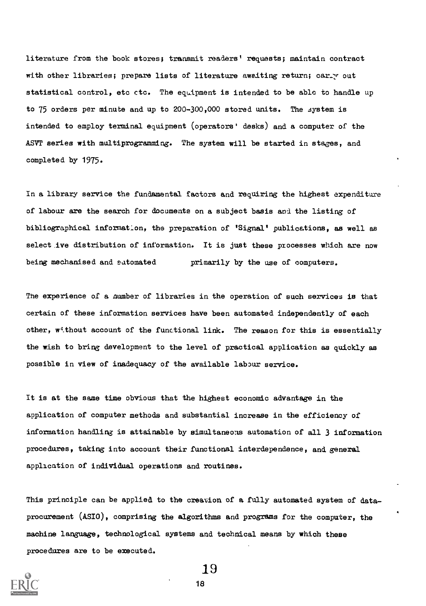literature from the book stores; transmit readers' requests; maintain contract with other libraries; prepare lists of literature awaiting return; carry out statistical control, etc ctc. The equipment is intended to be able to handle up to 75 orders per minute and up to 200-300,000 stored units. The system is intended to employ terminal equipment (operators' desks) and a computer of the ASVT series with multiprogramming. The system will be started in stages, and completed by 1975.

In a library service the fundamental factors and requiring the highest expenditure of labour are the search for documents on a subject basis and the listing of bibliographical information, the preparation of 'Signal' publications, as well as select ive distribution of information. It is just these processes which are now being mechanised and satomated primarily by the use of computers.

The experience of a number of libraries in the operation of such services is that certain of these information services have been automated independently of each other, without account of the functional link. The reason for this is essentially the wish to bring development to the level of practical application as quickly as possible in view of inadequacy of the available labour service.

It is at the same time obvious that the highest economic advantage in the application of computer methods and substantial increase in the efficiency of information handling is attainable by simultaneous automation of all 3 information procedures, taking into account their functional interdependence, and general application of individual operations and routines.

This principle can be applied to the creation of a fully automated system of dataprocurement (ASIO), comprising the algorithms and programs for the computer, the machine language, technological systems and technical means by which these procedures are to be executed.

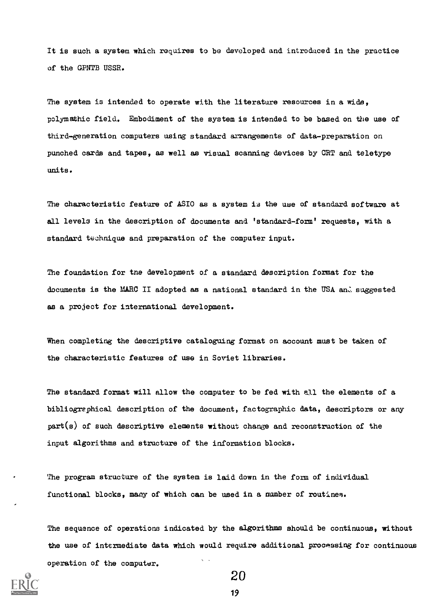It is such a system which requires to be developed and introduced in the practice of the GPNTB USSR.

The system is intended to operate with the literature resources in a wide, polymathic field. Embodiment of the system is intended to be based on the use of third-generation computers using standard arrangements of data-preparation on punched cards and tapes, as well as visual scanning devices by CRT and teletype units.

The characteristic feature of ASIO as a system is the use of standard software at all levels in the description of documents and 'standard-form' requests, with a standard technique and preparation of the computer input.

The foundation for the development of a standard description format for the documents is the MARC II adopted as a national standard in the USA and suggested as a project for international development.

When completing the descriptive cataloguing format on account must be taken of the characteristic features of use in Soviet libraries.

The standard format will allow the computer to be fed with all the elements of a bibliographical description of the document, factographic data, descriptors or any  $part(s)$  of such descriptive elements without change and reconstruction of the input algorithms and structure of the information blocks.

The program structure of the system is laid down in the form of individual functional blocks, many of which can be used in a number of routines).

The sequence of operations indicated by the algorithms should be continuous, without the use of intermediate data which would require additional processing for continuous operation of the computer.



20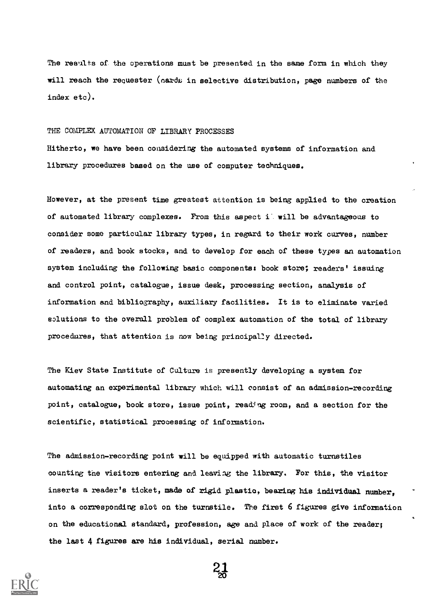The results of the operations must be presented in the same form in which they will reach the requester (card; in selective distribution, page numbers of the index etc).

#### THE COMPLEX AUTOMATION OF LIBRARY PROCESSES

Hitherto, we have been considering the automated systems of information and library procedures based on the use of computer techniques.

However, at the present time greatest attention is being applied to the creation of automated library complexes. From this aspect i' will be advantageous to consider some particular library types, in regard to their work curves, number of readers, and book stocks, and to develop for each of these types an automation system including the following basic components: book store; readers' issuing and control point, catalogue, issue desk, processing section, analysis of information and bibliography, auxiliary facilities. It is to eliminate varied solutions to the overall problem of complex automation of the total of library procedures, that attention is now being principal2y directed.

The Kiev State Institute of Culture is presently developing a system for automating an experimental library which will consist of an admission-recording point, catalogue, book store, issue point, reading room, and a section for the scientific, statistical processing of information.

The admission-recording point will be equipped with automatic turnstiles counting the visitors entering and leaving the library. For this, the visitor inserts a reader's ticket, made of rigid plastic, bearing his individual number, into a corresponding slot on the turnstile. The first 6 figures give information on the educational standard, profession, age and place of work of the reader; the last 4 figures are his individual, serial number.



21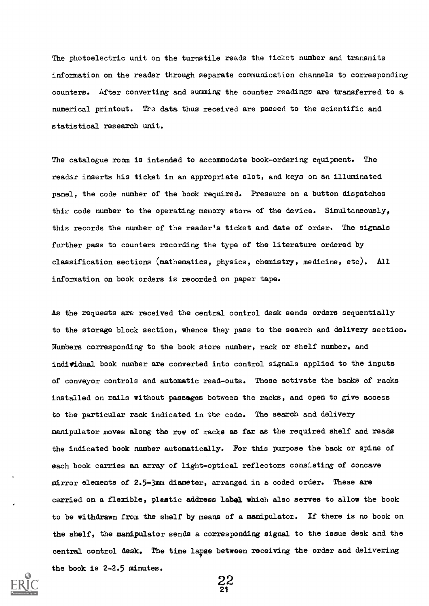The photoelectric unit on the turnstile reads the ticket number and transmits information on the reader through separate communication channels to corresponding counters. After converting and summing the counter readings are transferred to a numerical printout. The data thus received are passed to the scientific and statistical research unit.

The catalogue room is intended to accommodate book-ordering equipment. The reader inserts his ticket in an appropriate slot, and keys on an illuminated panel, the code number of the book required. Pressure on a button dispatches thim code number to the operating memory store of the device. Simultaneously, this records the number of the reader's ticket and date of order. The signals further pass to counters recording the type of the literature ordered by classification sections (mathematics, physics, chemistry, medicine, etc). All information on book orders is reoorded on paper tape.

As the requests are received the central control desk sends orders sequentially to the storage block section, whence they pass to the search and delivery section. Numbers corresponding to the book store number, rack or shelf number. and individual book number are converted into control signals applied to the inputs of conveyor controls and automatic read-outs. These activate the banks of racks installed on rails without passages between the racks, and open to give access to the particular rack indicated in the code. The search and delivery manipulator moves along the row of racks as far as the required shelf and reads the indicated book number automatically. For this purpose the back or spine of each book carries an array of light-optical reflectors consisting of concave mirror elements of 2.5-3mm diameter, arranged in a coded order. These are carried on a flexible, plastic address label which also serves to allow the book to be withdrawn from the shelf by means of a manipulator. If there is no book on the shelf, the manipulator sends a corresponding signal to the issue desk and the central control desk. The time lapse between receiving the order and delivering the book is 2-2.5 minutes.



 $\frac{22}{21}$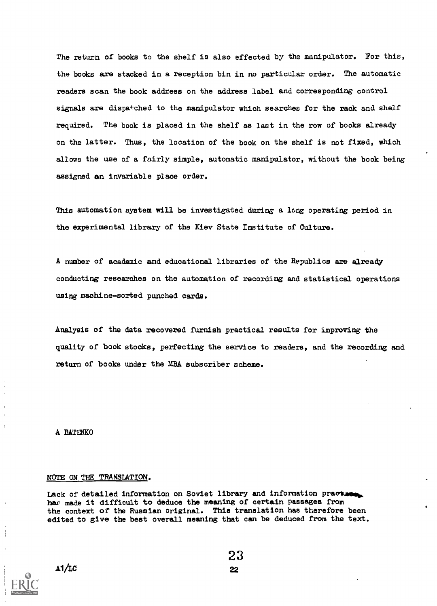The return of books to the shelf is also effected by the manipulator. For this, the books are stacked in a reception bin in no particular order. The automatic readers scan the book address on the address label and corresponding control signals are dispatched to the manipulator which searches for the rack and shelf required. The book is placed in the shelf as last in the row of books already on the latter. Thus, the location of the book on the shelf is not fixed, which allows the use of a fairly simple, automatic manipulator, without the book being assigned an invariable place order.

This automation system will be investigated during a long operating period in the experimental library of the Kiev State Institute of Culture.

A number of academic and educational libraries of the Republics are already conducting researches on the automation of recording and statistical operations using machine-sorted punched cards.

Analysis of the data recovered furnish practical results for improving the quality of book stocks, perfecting the service to readers, and the recording and return of books under the MBA subscriber scheme.

A BATENKO

#### NOTE ON THE TRANSLATION.

Lack of detailed information on Soviet library and information praction. har made it difficult to deduce the meaning of certain passages from the context of the Russian original. This translation has therefore been edited to give the best overall meaning that can be deduced from the text.